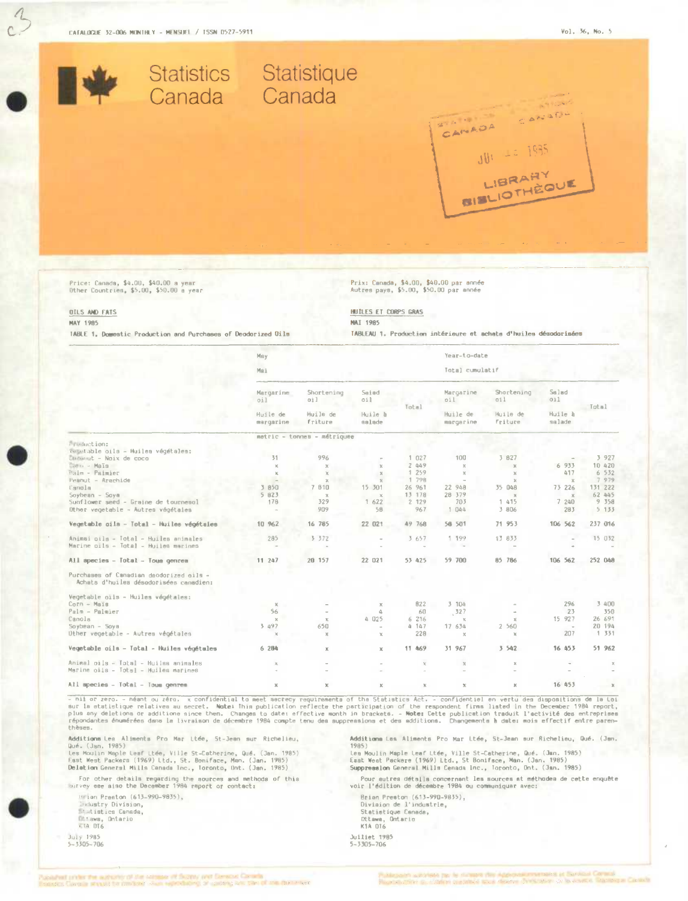CATALOGUE 32-006 MONTHLY - MENSUEL / TSSN 0527-5911



Vegetable cils - Total - Huiles végétales X Animal oils - Total - Huilas animales<br>Marine oiis - Total - Huiles marines All species - Total - Tous genres  $\times$  $\bar{\mathbf{x}}$ 

- nii or zero. - néant ou zéro, x confidential to meet aecrecy requirements of the Statistics Act. - confidential en vertu des dispositions de la Loi<br>sur la etatistique relatives au secret. Note: This publication reflects thèses.

Additions Lea Aliments Pro Mar Ltée, St-Jean sur Richelieu,<br>Qué. (Jan. 1985)<br>Les Moulin Maple Leaf Ltée, Ville St-Catherine, Qué. (Jan. 1985)<br>Les Moulin Maple Leaf Ltée, Ville St-Catherine, Man. (Jan. 1985)<br>Delation Geners

For other details regarding the sources and methods of this<br>survey eee also the December 1984 report or contact:

Hrian Preston (613-990-9835), Industry Division,<br>Indistics Canada, Ettawa, Ontario

July 1985<br>5-3305-706

Additions Les Aliments Pro Mar Ltée, St-Jean sur Richelieu, Qué. (Jen.  $1985)$ 

ives<br>Les Moulin Maple Leaf Ltée, Ville St-Catherine, Qué. (Jan. 1985)<br>East Weat Psckere (1969) Ltd., St Bonifsce, Man. (Jan. 1985)<br>Suppression General Mills Cenada Inc., Toronto, Ont. (Jan. 1985)

Pour autres détails concernant les sources st méthodes de cette enquête voir l'édition de décembre 1984 ou communiquar avec:

Brian Preston (613-990-9835),<br>Division de l'industrie,<br>Statistique Canada, Ottawa, Ontario<br>K1A OT6 Juiliet 1985<br>5-3305-706

 $\bar{\mathbf{x}}$ 

 $\sim$ 

 $\boldsymbol{\mathbf{x}}$ 

16 453